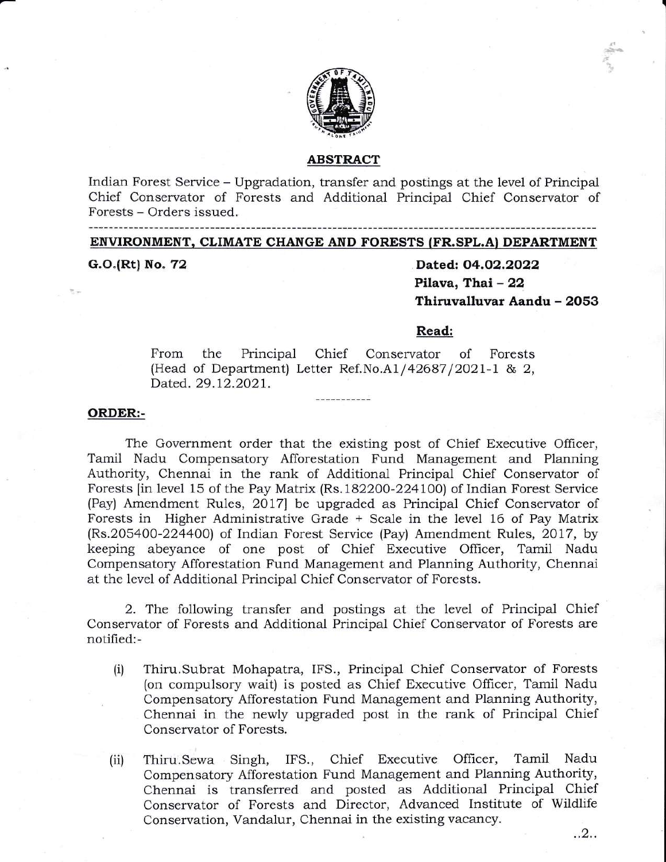

#### ABSTRACT

Indian Forest Service - Upgradation, transfer and postings at the level of Principal Chief Conservator of Forests and Additional Principal Chief Conservator of Forests - Orders issued.

## ENVIRONMENT. CLIMATE CHANGE AND FORESTS (FR.SPL.A} DEPARTMENT

G.O.(Rt) No. 72

Dated: O4.O2.2O22 Pilava, Thai - 22 Thiruvalluvar Aandu - 2053

-al\* { 7

#### Read:

From the Principal (Head of Department) Letter Ref.No.A1/42687/2021-1 & 2, Dated. 29.12.2021. Chief Conservator of Forests

## ORDER:-

The Government order that the existing post of Chief Executive Officer, Tamil Nadu Compensatory Afforestation Fund Management and Planning Authority, Chennai in the rank of Additional Principal Chief Conservator of Forests [in level 15 of the Pay Matrix (Rs.182200-224100) of Indian Forest Service (Pay) Amendment Rules, 2ol7l be upgraded as Principal Chief Conservator of Forests in Higher Administrative Grade + Scale in the level 16 of Pay Matrix (Rs.205a00-2244OO) of Indian Forest Service (Pay) Amendment Rules, 2017, by keeping abeyance of one post of Chief Executive Officer, Tamil Nadu Compensatory Afforestation Fund Management and Planning Authority, Chennai at the level of Additional Principal Chief Conservator of Porests.

2. The following transfer and postings at the level of Principal Chief Conservator of Forests and Additional Principal Chief Conservator of Forests are notified:-

- Thiru.Subrat Mohapatra, IFS., Principal Chief Conservator of Forests (on compulsory wait) is posted as Chief Executive Officer, Tamil Nadu Compensatory Afforestation Fund Management and Planning Authority, Chennai in the newly upgraded post in the rank of Principal Chief Con serwator of Forests. (i)
- Thiru'.Sewa Singh, IFS., Chief Executive Officer, Tamil Nadu Compensatory Afforestation Fund Management and Planning Authority, Chennai is transferred and posted as Additional Principal Chief Conservator of Forests and Director, Advanced Institute of Wildlife Conservation, Vandalur, Chennai in the existing vacancy. (ii)

..2..